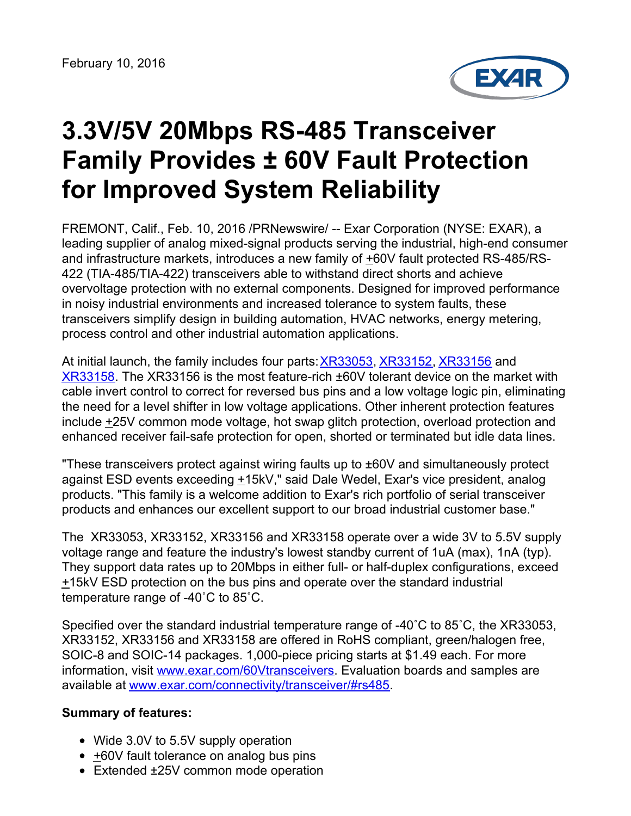

## **3.3V/5V 20Mbps RS-485 Transceiver Family Provides ± 60V Fault Protection for Improved System Reliability**

FREMONT, Calif., Feb. 10, 2016 /PRNewswire/ -- Exar Corporation (NYSE: EXAR), a leading supplier of analog mixed-signal products serving the industrial, high-end consumer and infrastructure markets, introduces a new family of  $\pm 60V$  fault protected RS-485/RS-422 (TIA-485/TIA-422) transceivers able to withstand direct shorts and achieve overvoltage protection with no external components. Designed for improved performance in noisy industrial environments and increased tolerance to system faults, these transceivers simplify design in building automation, HVAC networks, energy metering, process control and other industrial automation applications.

At initial launch, the family includes four parts:[XR33053](http://www.exar.com/xr33053), [XR33152](http://www.exar.com/xr33152), [XR33156](http://www.exar.com/xr33156) and [XR33158](http://www.exar.com/xr33158). The XR33156 is the most feature-rich ±60V tolerant device on the market with cable invert control to correct for reversed bus pins and a low voltage logic pin, eliminating the need for a level shifter in low voltage applications. Other inherent protection features include +25V common mode voltage, hot swap glitch protection, overload protection and enhanced receiver fail-safe protection for open, shorted or terminated but idle data lines.

"These transceivers protect against wiring faults up to ±60V and simultaneously protect against ESD events exceeding  $\pm$ 15kV," said Dale Wedel, Exar's vice president, analog products. "This family is a welcome addition to Exar's rich portfolio of serial transceiver products and enhances our excellent support to our broad industrial customer base."

The XR33053, XR33152, XR33156 and XR33158 operate over a wide 3V to 5.5V supply voltage range and feature the industry's lowest standby current of 1uA (max), 1nA (typ). They support data rates up to 20Mbps in either full- or half-duplex configurations, exceed  $±15kV$  ESD protection on the bus pins and operate over the standard industrial temperature range of -40˚C to 85˚C.

Specified over the standard industrial temperature range of -40˚C to 85˚C, the XR33053, XR33152, XR33156 and XR33158 are offered in RoHS compliant, green/halogen free, SOIC-8 and SOIC-14 packages. 1,000-piece pricing starts at \$1.49 each. For more information, visit [www.exar.com/60Vtransceivers](http://www.exar.com/60Vtransceivers). Evaluation boards and samples are available at [www.exar.com/connectivity/transceiver/#rs485](http://www.exar.com/connectivity/transceiver/#rs485).

## **Summary of features:**

- Wide 3.0V to 5.5V supply operation
- +60V fault tolerance on analog bus pins
- Extended ±25V common mode operation